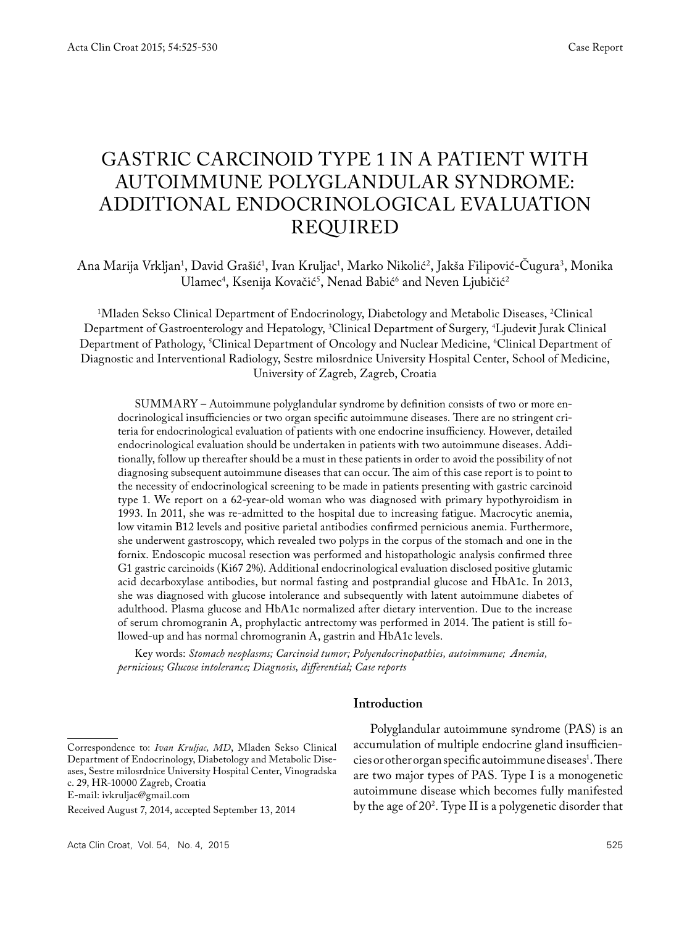# Gastric carcinoid type 1 in a patient with autoimmune polyglandular syndrome: additional endocrinological evaluation required

Ana Marija Vrkljan<sup>1</sup>, David Grašić<sup>1</sup>, Ivan Kruljac<sup>1</sup>, Marko Nikolić<sup>2</sup>, Jakša Filipović-Cugura<sup>3</sup>, Monika Ulamec<sup>4</sup>, Ksenija Kovačić<sup>3</sup>, Nenad Babić<sup>6</sup> and Neven Ljubičić<sup>2</sup>

1 Mladen Sekso Clinical Department of Endocrinology, Diabetology and Metabolic Diseases, 2 Clinical Department of Gastroenterology and Hepatology, 3 Clinical Department of Surgery, 4 Ljudevit Jurak Clinical Department of Pathology, <sup>s</sup>Clinical Department of Oncology and Nuclear Medicine, <sup>6</sup>Clinical Department of Diagnostic and Interventional Radiology, Sestre milosrdnice University Hospital Center, School of Medicine, University of Zagreb, Zagreb, Croatia

SUMMARY – Autoimmune polyglandular syndrome by definition consists of two or more endocrinological insufficiencies or two organ specific autoimmune diseases. There are no stringent criteria for endocrinological evaluation of patients with one endocrine insufficiency. However, detailed endocrinological evaluation should be undertaken in patients with two autoimmune diseases. Additionally, follow up thereafter should be a must in these patients in order to avoid the possibility of not diagnosing subsequent autoimmune diseases that can occur. The aim of this case report is to point to the necessity of endocrinological screening to be made in patients presenting with gastric carcinoid type 1. We report on a 62-year-old woman who was diagnosed with primary hypothyroidism in 1993. In 2011, she was re-admitted to the hospital due to increasing fatigue. Macrocytic anemia, low vitamin B12 levels and positive parietal antibodies confirmed pernicious anemia. Furthermore, she underwent gastroscopy, which revealed two polyps in the corpus of the stomach and one in the fornix. Endoscopic mucosal resection was performed and histopathologic analysis confirmed three G1 gastric carcinoids (Ki67 2%). Additional endocrinological evaluation disclosed positive glutamic acid decarboxylase antibodies, but normal fasting and postprandial glucose and HbA1c. In 2013, she was diagnosed with glucose intolerance and subsequently with latent autoimmune diabetes of adulthood. Plasma glucose and HbA1c normalized after dietary intervention. Due to the increase of serum chromogranin A, prophylactic antrectomy was performed in 2014. The patient is still followed-up and has normal chromogranin A, gastrin and HbA1c levels.

Key words: *Stomach neoplasms; Carcinoid tumor; Polyendocrinopathies, autoimmune; Anemia, pernicious; Glucose intolerance; Diagnosis, differential; Case reports*

#### **Introduction**

E-mail: ivkruljac@gmail.com

Polyglandular autoimmune syndrome (PAS) is an accumulation of multiple endocrine gland insufficiencies or other organ specific autoimmune diseases1 . There are two major types of PAS. Type I is a monogenetic autoimmune disease which becomes fully manifested by the age of 20<sup>2</sup>. Type II is a polygenetic disorder that

Correspondence to: *Ivan Kruljac, MD*, Mladen Sekso Clinical Department of Endocrinology, Diabetology and Metabolic Diseases, Sestre milosrdnice University Hospital Center, Vinogradska c. 29, HR-10000 Zagreb, Croatia

Received August 7, 2014, accepted September 13, 2014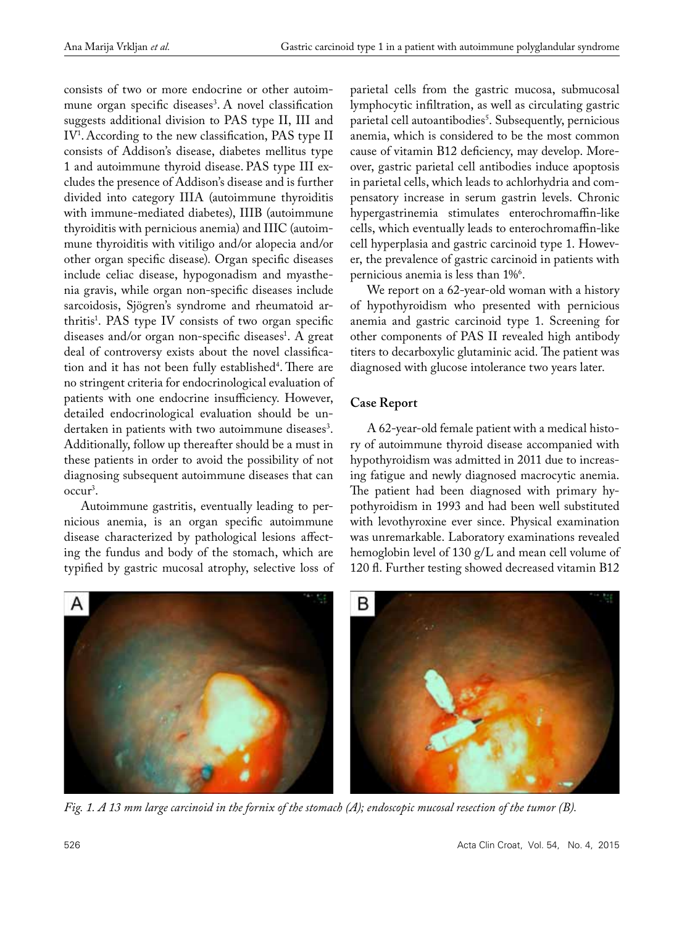consists of two or more endocrine or other autoimmune organ specific diseases<sup>3</sup>. A novel classification suggests additional division to PAS type II, III and  $\rm IV^{\scriptscriptstyle I}.$  According to the new classification, PAS type I consists of Addison's disease, diabetes mellitus type 1 and autoimmune thyroid disease. PAS type III excludes the presence of Addison's disease and is further divided into category IIIA (autoimmune thyroiditis with immune-mediated diabetes), IIIB (autoimmune thyroiditis with pernicious anemia) and IIIC (autoimmune thyroiditis with vitiligo and/or alopecia and/or other organ specific disease). Organ specific diseases include celiac disease, hypogonadism and myasthenia gravis, while organ non-specific diseases include sarcoidosis, Sjögren's syndrome and rheumatoid arthritis<sup>1</sup>. PAS type IV consists of two organ specific diseases and/or organ non-specific diseases<sup>1</sup>. A great deal of controversy exists about the novel classification and it has not been fully established<sup>4</sup>. There are no stringent criteria for endocrinological evaluation of patients with one endocrine insufficiency. However, detailed endocrinological evaluation should be undertaken in patients with two autoimmune diseases<sup>3</sup>. Additionally, follow up thereafter should be a must in these patients in order to avoid the possibility of not diagnosing subsequent autoimmune diseases that can occur3 .

Autoimmune gastritis, eventually leading to pernicious anemia, is an organ specific autoimmune disease characterized by pathological lesions affecting the fundus and body of the stomach, which are typified by gastric mucosal atrophy, selective loss of parietal cells from the gastric mucosa, submucosal lymphocytic infiltration, as well as circulating gastric parietal cell autoantibodies<sup>s</sup>. Subsequently, pernicious anemia, which is considered to be the most common cause of vitamin B12 deficiency, may develop. Moreover, gastric parietal cell antibodies induce apoptosis in parietal cells, which leads to achlorhydria and compensatory increase in serum gastrin levels. Chronic hypergastrinemia stimulates enterochromaffin-like cells, which eventually leads to enterochromaffin-like cell hyperplasia and gastric carcinoid type 1. However, the prevalence of gastric carcinoid in patients with pernicious anemia is less than 1%°.

We report on a 62-year-old woman with a history of hypothyroidism who presented with pernicious anemia and gastric carcinoid type 1. Screening for other components of PAS II revealed high antibody titers to decarboxylic glutaminic acid. The patient was diagnosed with glucose intolerance two years later.

# **Case Report**

A 62-year-old female patient with a medical history of autoimmune thyroid disease accompanied with hypothyroidism was admitted in 2011 due to increasing fatigue and newly diagnosed macrocytic anemia. The patient had been diagnosed with primary hypothyroidism in 1993 and had been well substituted with levothyroxine ever since. Physical examination was unremarkable. Laboratory examinations revealed hemoglobin level of 130 g/L and mean cell volume of 120 fl. Further testing showed decreased vitamin B12



*Fig. 1. A 13 mm large carcinoid in the fornix of the stomach (A); endoscopic mucosal resection of the tumor (B).*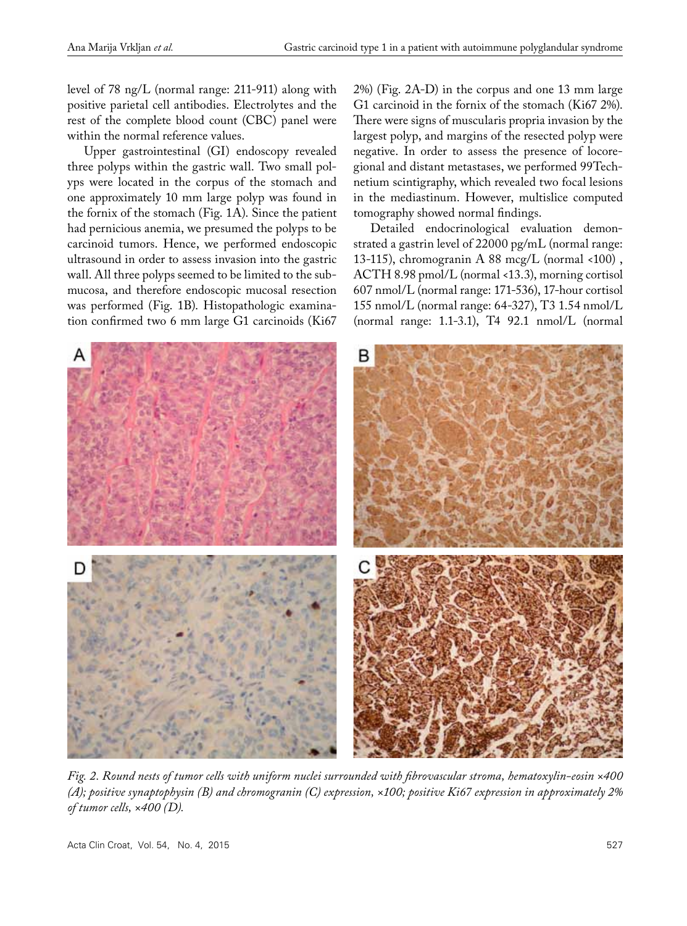level of 78 ng/L (normal range: 211-911) along with positive parietal cell antibodies. Electrolytes and the rest of the complete blood count (CBC) panel were within the normal reference values.

Upper gastrointestinal (GI) endoscopy revealed three polyps within the gastric wall. Two small polyps were located in the corpus of the stomach and one approximately 10 mm large polyp was found in the fornix of the stomach (Fig. 1A). Since the patient had pernicious anemia, we presumed the polyps to be carcinoid tumors. Hence, we performed endoscopic ultrasound in order to assess invasion into the gastric wall. All three polyps seemed to be limited to the submucosa, and therefore endoscopic mucosal resection was performed (Fig. 1B). Histopathologic examination confirmed two 6 mm large G1 carcinoids (Ki67 2%) (Fig. 2A-D) in the corpus and one 13 mm large G1 carcinoid in the fornix of the stomach (Ki67 2%). There were signs of muscularis propria invasion by the largest polyp, and margins of the resected polyp were negative. In order to assess the presence of locoregional and distant metastases, we performed 99Technetium scintigraphy, which revealed two focal lesions in the mediastinum. However, multislice computed tomography showed normal findings.

Detailed endocrinological evaluation demonstrated a gastrin level of 22000 pg/mL (normal range: 13-115), chromogranin A 88 mcg/L (normal <100) , ACTH 8.98 pmol/L (normal <13.3), morning cortisol 607 nmol/L (normal range: 171-536), 17-hour cortisol 155 nmol/L (normal range: 64-327), T3 1.54 nmol/L (normal range: 1.1-3.1), T4 92.1 nmol/L (normal



*Fig. 2. Round nests of tumor cells with uniform nuclei surrounded with fibrovascular stroma, hematoxylin-eosin ×400 (A); positive synaptophysin (B) and chromogranin (C) expression, ×100; positive Ki67 expression in approximately 2% of tumor cells, ×400 (D).* 

Acta Clin Croat, Vol. 54, No. 4, 2015 **527 527**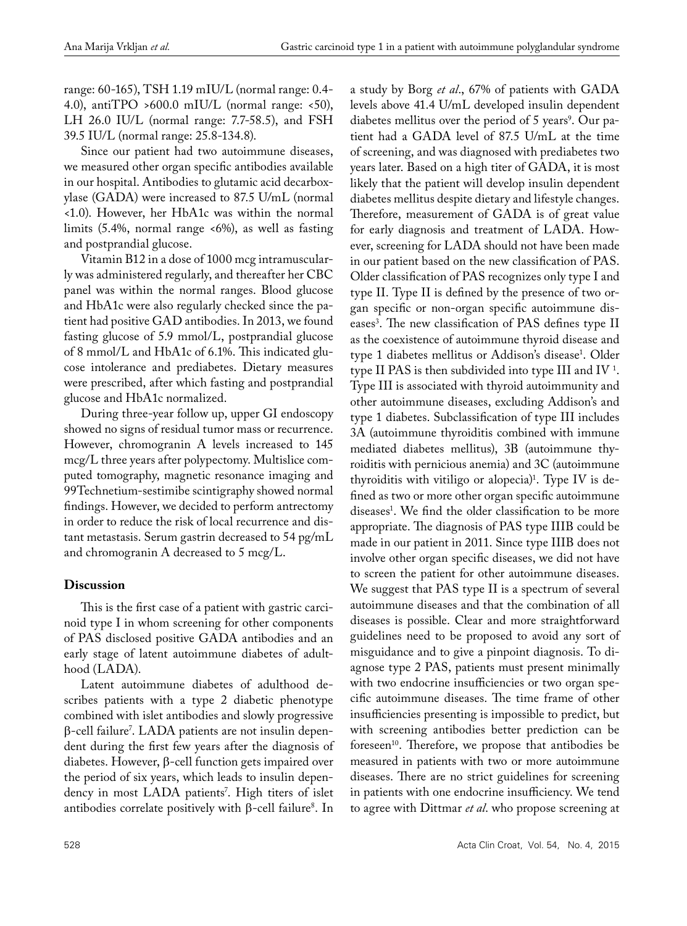a study by Borg *et al*., 67% of patients with GADA

range: 60-165), TSH 1.19 mIU/L (normal range: 0.4- 4.0), antiTPO >600.0 mIU/L (normal range:  $\langle 50 \rangle$ , LH 26.0 IU/L (normal range: 7.7-58.5), and FSH 39.5 IU/L (normal range: 25.8-134.8).

Since our patient had two autoimmune diseases, we measured other organ specific antibodies available in our hospital. Antibodies to glutamic acid decarboxylase (GADA) were increased to 87.5 U/mL (normal <1.0). However, her HbA1c was within the normal limits (5.4%, normal range <6%), as well as fasting and postprandial glucose.

Vitamin B12 in a dose of 1000 mcg intramuscularly was administered regularly, and thereafter her CBC panel was within the normal ranges. Blood glucose and HbA1c were also regularly checked since the patient had positive GAD antibodies. In 2013, we found fasting glucose of 5.9 mmol/L, postprandial glucose of 8 mmol/L and HbA1c of 6.1%. This indicated glucose intolerance and prediabetes. Dietary measures were prescribed, after which fasting and postprandial glucose and HbA1c normalized.

During three-year follow up, upper GI endoscopy showed no signs of residual tumor mass or recurrence. However, chromogranin A levels increased to 145 mcg/L three years after polypectomy. Multislice computed tomography, magnetic resonance imaging and 99Technetium-sestimibe scintigraphy showed normal findings. However, we decided to perform antrectomy in order to reduce the risk of local recurrence and distant metastasis. Serum gastrin decreased to 54 pg/mL and chromogranin A decreased to 5 mcg/L.

# **Discussion**

This is the first case of a patient with gastric carcinoid type I in whom screening for other components of PAS disclosed positive GADA antibodies and an early stage of latent autoimmune diabetes of adulthood (LADA).

Latent autoimmune diabetes of adulthood describes patients with a type 2 diabetic phenotype combined with islet antibodies and slowly progressive β-cell failure7 . LADA patients are not insulin dependent during the first few years after the diagnosis of diabetes. However, β-cell function gets impaired over the period of six years, which leads to insulin dependency in most LADA patients7 . High titers of islet antibodies correlate positively with  $\beta$ -cell failure<sup>8</sup>. In levels above 41.4 U/mL developed insulin dependent diabetes mellitus over the period of 5 years<sup>9</sup>. Our patient had a GADA level of 87.5 U/mL at the time of screening, and was diagnosed with prediabetes two years later. Based on a high titer of GADA, it is most likely that the patient will develop insulin dependent diabetes mellitus despite dietary and lifestyle changes. Therefore, measurement of GADA is of great value for early diagnosis and treatment of LADA. However, screening for LADA should not have been made in our patient based on the new classification of PAS. Older classification of PAS recognizes only type I and type II. Type II is defined by the presence of two organ specific or non-organ specific autoimmune diseases<sup>3</sup>. The new classification of PAS defines type I as the coexistence of autoimmune thyroid disease and type 1 diabetes mellitus or Addison's disease<sup>1</sup>. Older type II PAS is then subdivided into type III and IV<sup>1</sup>. Type III is associated with thyroid autoimmunity and other autoimmune diseases, excluding Addison's and type 1 diabetes. Subclassification of type III includes 3A (autoimmune thyroiditis combined with immune mediated diabetes mellitus), 3B (autoimmune thyroiditis with pernicious anemia) and 3C (autoimmune thyroiditis with vitiligo or alopecia)<sup>1</sup>. Type IV is defined as two or more other organ specific autoimmune diseases<sup>1</sup>. We find the older classification to be more appropriate. The diagnosis of PAS type IIIB could be made in our patient in 2011. Since type IIIB does not involve other organ specific diseases, we did not have to screen the patient for other autoimmune diseases. We suggest that PAS type II is a spectrum of several autoimmune diseases and that the combination of all diseases is possible. Clear and more straightforward guidelines need to be proposed to avoid any sort of misguidance and to give a pinpoint diagnosis. To diagnose type 2 PAS, patients must present minimally with two endocrine insufficiencies or two organ specific autoimmune diseases. The time frame of other insufficiencies presenting is impossible to predict, but with screening antibodies better prediction can be foreseen<sup>10</sup>. Therefore, we propose that antibodies be measured in patients with two or more autoimmune diseases. There are no strict guidelines for screening in patients with one endocrine insufficiency. We tend to agree with Dittmar *et al*. who propose screening at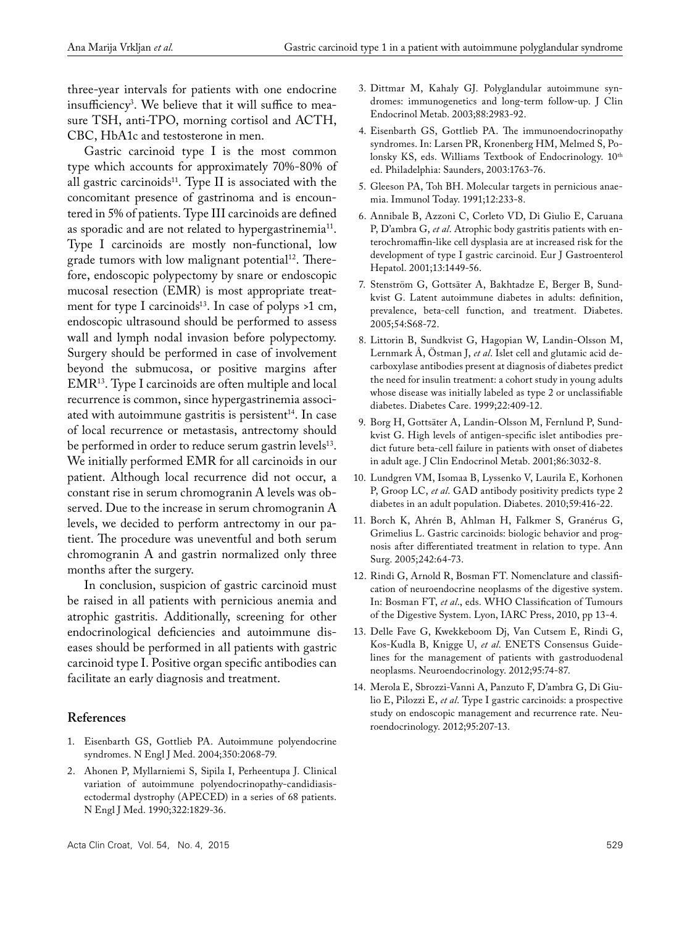three-year intervals for patients with one endocrine insufficiency3 . We believe that it will suffice to measure TSH, anti-TPO, morning cortisol and ACTH, CBC, HbA1c and testosterone in men.

Gastric carcinoid type I is the most common type which accounts for approximately 70%-80% of all gastric carcinoids $11$ . Type II is associated with the concomitant presence of gastrinoma and is encountered in 5% of patients. Type III carcinoids are defined as sporadic and are not related to hypergastrinemia<sup>11</sup>. Type I carcinoids are mostly non-functional, low grade tumors with low malignant potential<sup>12</sup>. Therefore, endoscopic polypectomy by snare or endoscopic mucosal resection (EMR) is most appropriate treatment for type I carcinoids<sup>13</sup>. In case of polyps  $>1$  cm, endoscopic ultrasound should be performed to assess wall and lymph nodal invasion before polypectomy. Surgery should be performed in case of involvement beyond the submucosa, or positive margins after EMR13. Type I carcinoids are often multiple and local recurrence is common, since hypergastrinemia associated with autoimmune gastritis is persistent $14$ . In case of local recurrence or metastasis, antrectomy should be performed in order to reduce serum gastrin levels<sup>13</sup>. We initially performed EMR for all carcinoids in our patient. Although local recurrence did not occur, a constant rise in serum chromogranin A levels was observed. Due to the increase in serum chromogranin A levels, we decided to perform antrectomy in our patient. The procedure was uneventful and both serum chromogranin A and gastrin normalized only three months after the surgery.

In conclusion, suspicion of gastric carcinoid must be raised in all patients with pernicious anemia and atrophic gastritis. Additionally, screening for other endocrinological deficiencies and autoimmune diseases should be performed in all patients with gastric carcinoid type I. Positive organ specific antibodies can facilitate an early diagnosis and treatment.

## **References**

- 1. Eisenbarth GS, Gottlieb PA. Autoimmune polyendocrine syndromes. N Engl J Med. 2004;350:2068-79.
- 2. Ahonen P, Myllarniemi S, Sipila I, Perheentupa J. Clinical variation of autoimmune polyendocrinopathy-candidiasisectodermal dystrophy (APECED) in a series of 68 patients. N Engl J Med. 1990;322:1829-36.
- 3. Dittmar M, Kahaly GJ. Polyglandular autoimmune syndromes: immunogenetics and long-term follow-up. J Clin Endocrinol Metab. 2003;88:2983-92.
- 4. Eisenbarth GS, Gottlieb PA. The immunoendocrinopathy syndromes. In: Larsen PR, Kronenberg HM, Melmed S, Polonsky KS, eds. Williams Textbook of Endocrinology.  $10^{\text{th}}$ ed. Philadelphia: Saunders, 2003:1763-76.
- 5. Gleeson PA, Toh BH. Molecular targets in pernicious anaemia. Immunol Today. 1991;12:233-8.
- 6. Annibale B, Azzoni C, Corleto VD, Di Giulio E, Caruana P, D'ambra G, *et al*. Atrophic body gastritis patients with enterochromaffin-like cell dysplasia are at increased risk for the development of type I gastric carcinoid. Eur J Gastroenterol Hepatol. 2001;13:1449-56.
- 7. Stenström G, Gottsäter A, Bakhtadze E, Berger B, Sundkvist G. Latent autoimmune diabetes in adults: definition, prevalence, beta-cell function, and treatment. Diabetes. 2005;54:S68-72.
- 8. Littorin B, Sundkvist G, Hagopian W, Landin-Olsson M, Lernmark Å, Östman J, *et al*. Islet cell and glutamic acid decarboxylase antibodies present at diagnosis of diabetes predict the need for insulin treatment: a cohort study in young adults whose disease was initially labeled as type 2 or unclassifiable diabetes. Diabetes Care. 1999;22:409-12.
- 9. Borg H, Gottsäter A, Landin-Olsson M, Fernlund P, Sundkvist G. High levels of antigen-specific islet antibodies predict future beta-cell failure in patients with onset of diabetes in adult age. J Clin Endocrinol Metab. 2001;86:3032-8.
- 10. Lundgren VM, Isomaa B, Lyssenko V, Laurila E, Korhonen P, Groop LC, *et al*. GAD antibody positivity predicts type 2 diabetes in an adult population. Diabetes. 2010;59:416-22.
- 11. Borch K, Ahrén B, Ahlman H, Falkmer S, Granérus G, Grimelius L. Gastric carcinoids: biologic behavior and prognosis after differentiated treatment in relation to type. Ann Surg. 2005;242:64-73.
- 12. Rindi G, Arnold R, Bosman FT. Nomenclature and classification of neuroendocrine neoplasms of the digestive system. In: Bosman FT, *et al*., eds. WHO Classification of Tumours of the Digestive System. Lyon, IARC Press, 2010, pp 13-4.
- 13. Delle Fave G, Kwekkeboom Dj, Van Cutsem E, Rindi G, Kos-Kudla B, Knigge U, *et al*. ENETS Consensus Guidelines for the management of patients with gastroduodenal neoplasms. Neuroendocrinology. 2012;95:74-87.
- 14. Merola E, Sbrozzi-Vanni A, Panzuto F, D'ambra G, Di Giulio E, Pilozzi E, *et al*. Type I gastric carcinoids: a prospective study on endoscopic management and recurrence rate. Neuroendocrinology. 2012;95:207-13.